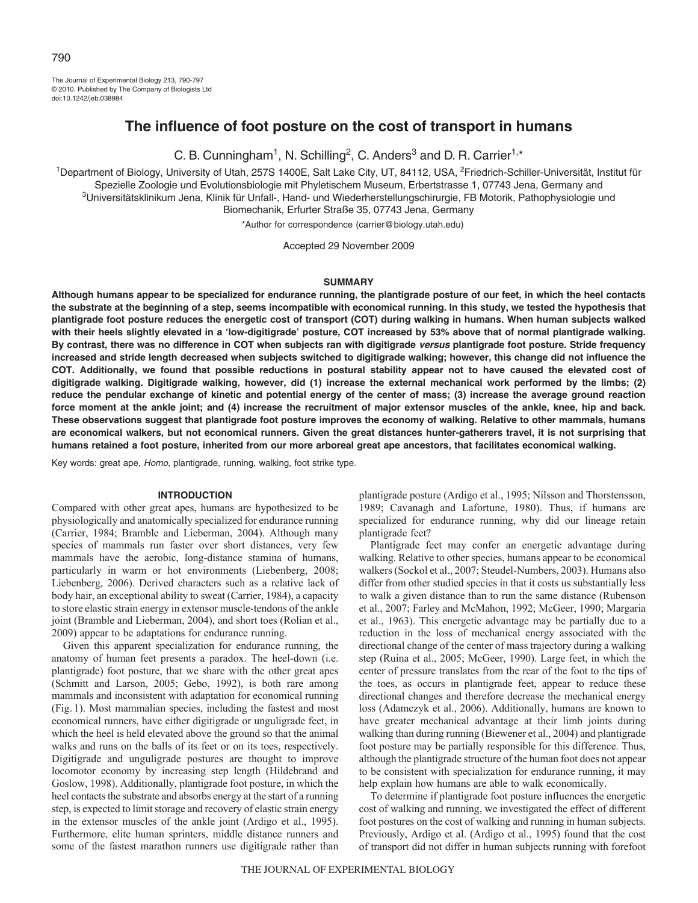The Journal of Experimental Biology 213, 790-797 © 2010. Published by The Company of Biologists Ltd doi:10.1242/jeb.038984

# **The influence of foot posture on the cost of transport in humans**

C. B. Cunningham<sup>1</sup>, N. Schilling<sup>2</sup>, C. Anders<sup>3</sup> and D. R. Carrier<sup>1,\*</sup>

1Department of Biology, University of Utah, 257S 1400E, Salt Lake City, UT, 84112, USA, 2Friedrich-Schiller-Universität, Institut für Spezielle Zoologie und Evolutionsbiologie mit Phyletischem Museum, Erbertstrasse 1, 07743 Jena, Germany and 3Universitätsklinikum Jena, Klinik für Unfall-, Hand- und Wiederherstellungschirurgie, FB Motorik, Pathophysiologie und Biomechanik, Erfurter Straße 35, 07743 Jena, Germany

\*Author for correspondence (carrier@biology.utah.edu)

Accepted 29 November 2009

### **SUMMARY**

**Although humans appear to be specialized for endurance running, the plantigrade posture of our feet, in which the heel contacts the substrate at the beginning of a step, seems incompatible with economical running. In this study, we tested the hypothesis that plantigrade foot posture reduces the energetic cost of transport (COT) during walking in humans. When human subjects walked with their heels slightly elevated in a 'low-digitigrade' posture, COT increased by 53% above that of normal plantigrade walking. By contrast, there was no difference in COT when subjects ran with digitigrade versus plantigrade foot posture. Stride frequency increased and stride length decreased when subjects switched to digitigrade walking; however, this change did not influence the COT. Additionally, we found that possible reductions in postural stability appear not to have caused the elevated cost of digitigrade walking. Digitigrade walking, however, did (1) increase the external mechanical work performed by the limbs; (2) reduce the pendular exchange of kinetic and potential energy of the center of mass; (3) increase the average ground reaction force moment at the ankle joint; and (4) increase the recruitment of major extensor muscles of the ankle, knee, hip and back. These observations suggest that plantigrade foot posture improves the economy of walking. Relative to other mammals, humans are economical walkers, but not economical runners. Given the great distances hunter-gatherers travel, it is not surprising that humans retained a foot posture, inherited from our more arboreal great ape ancestors, that facilitates economical walking.**

Key words: great ape, Homo, plantigrade, running, walking, foot strike type.

## **INTRODUCTION**

Compared with other great apes, humans are hypothesized to be physiologically and anatomically specialized for endurance running (Carrier, 1984; Bramble and Lieberman, 2004). Although many species of mammals run faster over short distances, very few mammals have the aerobic, long-distance stamina of humans, particularly in warm or hot environments (Liebenberg, 2008; Liebenberg, 2006). Derived characters such as a relative lack of body hair, an exceptional ability to sweat (Carrier, 1984), a capacity to store elastic strain energy in extensor muscle-tendons of the ankle joint (Bramble and Lieberman, 2004), and short toes (Rolian et al., 2009) appear to be adaptations for endurance running.

Given this apparent specialization for endurance running, the anatomy of human feet presents a paradox. The heel-down (i.e. plantigrade) foot posture, that we share with the other great apes (Schmitt and Larson, 2005; Gebo, 1992), is both rare among mammals and inconsistent with adaptation for economical running (Fig. 1). Most mammalian species, including the fastest and most economical runners, have either digitigrade or unguligrade feet, in which the heel is held elevated above the ground so that the animal walks and runs on the balls of its feet or on its toes, respectively. Digitigrade and unguligrade postures are thought to improve locomotor economy by increasing step length (Hildebrand and Goslow, 1998). Additionally, plantigrade foot posture, in which the heel contacts the substrate and absorbs energy at the start of a running step, is expected to limit storage and recovery of elastic strain energy in the extensor muscles of the ankle joint (Ardigo et al., 1995). Furthermore, elite human sprinters, middle distance runners and some of the fastest marathon runners use digitigrade rather than

plantigrade posture (Ardigo et al., 1995; Nilsson and Thorstensson, 1989; Cavanagh and Lafortune, 1980). Thus, if humans are specialized for endurance running, why did our lineage retain plantigrade feet?

Plantigrade feet may confer an energetic advantage during walking. Relative to other species, humans appear to be economical walkers (Sockol et al., 2007; Steudel-Numbers, 2003). Humans also differ from other studied species in that it costs us substantially less to walk a given distance than to run the same distance (Rubenson et al., 2007; Farley and McMahon, 1992; McGeer, 1990; Margaria et al., 1963). This energetic advantage may be partially due to a reduction in the loss of mechanical energy associated with the directional change of the center of mass trajectory during a walking step (Ruina et al., 2005; McGeer, 1990). Large feet, in which the center of pressure translates from the rear of the foot to the tips of the toes, as occurs in plantigrade feet, appear to reduce these directional changes and therefore decrease the mechanical energy loss (Adamczyk et al., 2006). Additionally, humans are known to have greater mechanical advantage at their limb joints during walking than during running (Biewener et al., 2004) and plantigrade foot posture may be partially responsible for this difference. Thus, although the plantigrade structure of the human foot does not appear to be consistent with specialization for endurance running, it may help explain how humans are able to walk economically.

To determine if plantigrade foot posture influences the energetic cost of walking and running, we investigated the effect of different foot postures on the cost of walking and running in human subjects. Previously, Ardigo et al. (Ardigo et al., 1995) found that the cost of transport did not differ in human subjects running with forefoot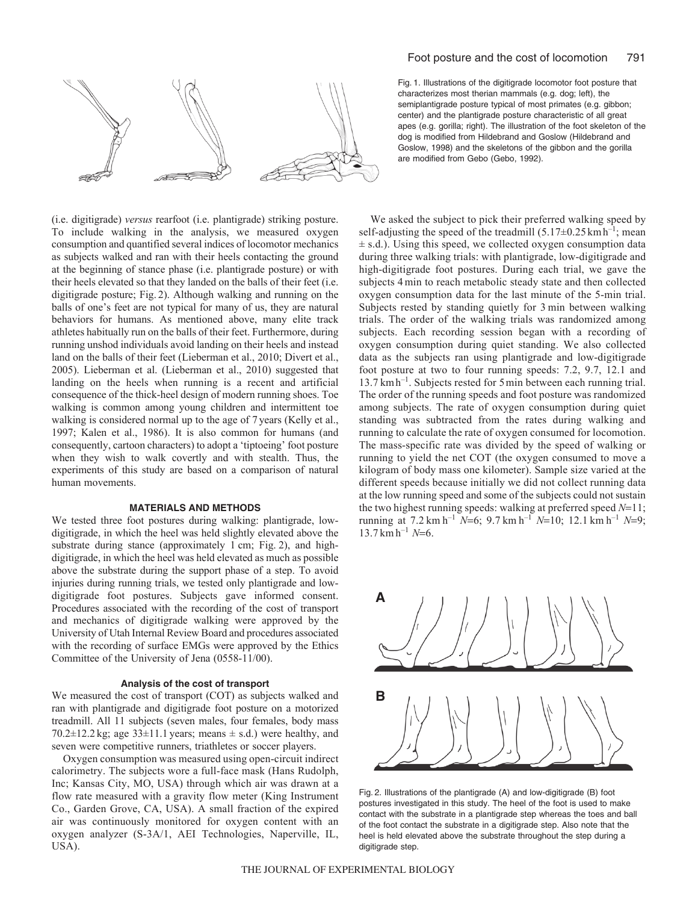

(i.e. digitigrade) *versus* rearfoot (i.e. plantigrade) striking posture. To include walking in the analysis, we measured oxygen consumption and quantified several indices of locomotor mechanics as subjects walked and ran with their heels contacting the ground at the beginning of stance phase (i.e. plantigrade posture) or with their heels elevated so that they landed on the balls of their feet (i.e. digitigrade posture; Fig. 2). Although walking and running on the balls of one's feet are not typical for many of us, they are natural behaviors for humans. As mentioned above, many elite track athletes habitually run on the balls of their feet. Furthermore, during running unshod individuals avoid landing on their heels and instead land on the balls of their feet (Lieberman et al., 2010; Divert et al., 2005). Lieberman et al. (Lieberman et al., 2010) suggested that landing on the heels when running is a recent and artificial consequence of the thick-heel design of modern running shoes. Toe walking is common among young children and intermittent toe walking is considered normal up to the age of 7 years (Kelly et al., 1997; Kalen et al., 1986). It is also common for humans (and consequently, cartoon characters) to adopt a 'tiptoeing' foot posture when they wish to walk covertly and with stealth. Thus, the experiments of this study are based on a comparison of natural human movements.

## **MATERIALS AND METHODS**

We tested three foot postures during walking: plantigrade, lowdigitigrade, in which the heel was held slightly elevated above the substrate during stance (approximately 1 cm; Fig. 2), and highdigitigrade, in which the heel was held elevated as much as possible above the substrate during the support phase of a step. To avoid injuries during running trials, we tested only plantigrade and lowdigitigrade foot postures. Subjects gave informed consent. Procedures associated with the recording of the cost of transport and mechanics of digitigrade walking were approved by the University of Utah Internal Review Board and procedures associated with the recording of surface EMGs were approved by the Ethics Committee of the University of Jena (0558-11/00).

### **Analysis of the cost of transport**

We measured the cost of transport (COT) as subjects walked and ran with plantigrade and digitigrade foot posture on a motorized treadmill. All 11 subjects (seven males, four females, body mass 70.2 $\pm$ 12.2 kg; age 33 $\pm$ 11.1 years; means  $\pm$  s.d.) were healthy, and seven were competitive runners, triathletes or soccer players.

Oxygen consumption was measured using open-circuit indirect calorimetry. The subjects wore a full-face mask (Hans Rudolph, Inc; Kansas City, MO, USA) through which air was drawn at a flow rate measured with a gravity flow meter (King Instrument Co., Garden Grove, CA, USA). A small fraction of the expired air was continuously monitored for oxygen content with an oxygen analyzer (S-3A/1, AEI Technologies, Naperville, IL, USA).

Fig. 1. Illustrations of the digitigrade locomotor foot posture that characterizes most therian mammals (e.g. dog; left), the semiplantigrade posture typical of most primates (e.g. gibbon; center) and the plantigrade posture characteristic of all great apes (e.g. gorilla; right). The illustration of the foot skeleton of the dog is modified from Hildebrand and Goslow (Hildebrand and Goslow, 1998) and the skeletons of the gibbon and the gorilla are modified from Gebo (Gebo, 1992).

We asked the subject to pick their preferred walking speed by self-adjusting the speed of the treadmill  $(5.17\pm0.25 \text{ km h}^{-1})$ ; mean  $\pm$  s.d.). Using this speed, we collected oxygen consumption data during three walking trials: with plantigrade, low-digitigrade and high-digitigrade foot postures. During each trial, we gave the subjects 4 min to reach metabolic steady state and then collected oxygen consumption data for the last minute of the 5-min trial. Subjects rested by standing quietly for 3 min between walking trials. The order of the walking trials was randomized among subjects. Each recording session began with a recording of oxygen consumption during quiet standing. We also collected data as the subjects ran using plantigrade and low-digitigrade foot posture at two to four running speeds: 7.2, 9.7, 12.1 and 13.7 kmh–1. Subjects rested for 5min between each running trial. The order of the running speeds and foot posture was randomized among subjects. The rate of oxygen consumption during quiet standing was subtracted from the rates during walking and running to calculate the rate of oxygen consumed for locomotion. The mass-specific rate was divided by the speed of walking or running to yield the net COT (the oxygen consumed to move a kilogram of body mass one kilometer). Sample size varied at the different speeds because initially we did not collect running data at the low running speed and some of the subjects could not sustain the two highest running speeds: walking at preferred speed *N*=11; running at 7.2 km h–1 *N*=6; 9.7 km h–1 *N*=10; 12.1 km h–1 *N*=9;  $13.7 \text{ km h}^{-1}$  *N*=6.



Fig. 2. Illustrations of the plantigrade (A) and low-digitigrade (B) foot postures investigated in this study. The heel of the foot is used to make contact with the substrate in a plantigrade step whereas the toes and ball of the foot contact the substrate in a digitigrade step. Also note that the heel is held elevated above the substrate throughout the step during a digitigrade step.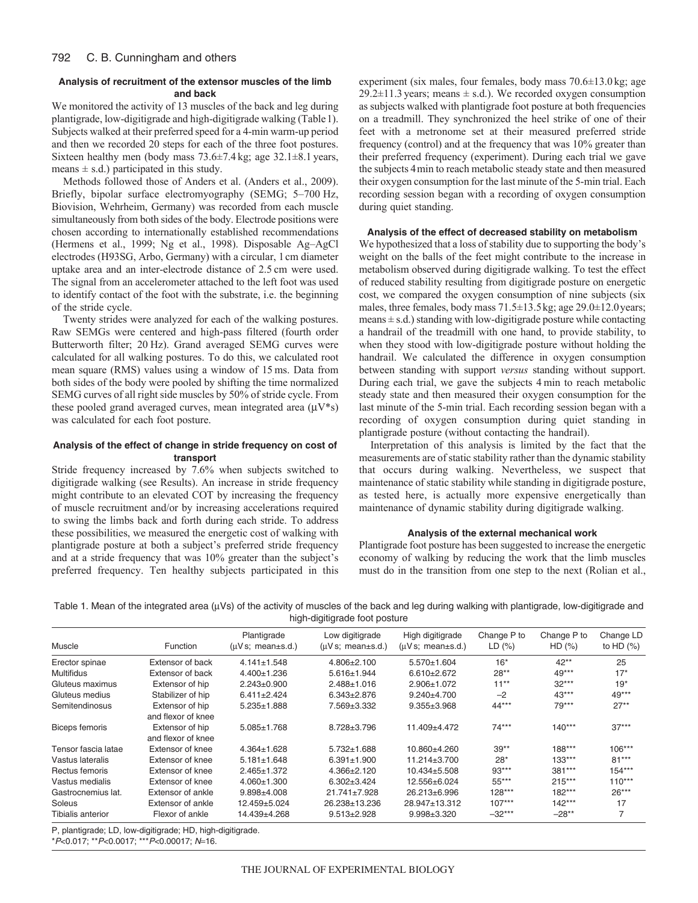# **Analysis of recruitment of the extensor muscles of the limb and back**

We monitored the activity of 13 muscles of the back and leg during plantigrade, low-digitigrade and high-digitigrade walking (Table1). Subjects walked at their preferred speed for a 4-min warm-up period and then we recorded 20 steps for each of the three foot postures. Sixteen healthy men (body mass  $73.6\pm7.4$  kg; age  $32.1\pm8.1$  years, means  $\pm$  s.d.) participated in this study.

Methods followed those of Anders et al. (Anders et al., 2009). Briefly, bipolar surface electromyography (SEMG; 5–700 Hz, Biovision, Wehrheim, Germany) was recorded from each muscle simultaneously from both sides of the body. Electrode positions were chosen according to internationally established recommendations (Hermens et al., 1999; Ng et al., 1998). Disposable Ag–AgCl electrodes (H93SG, Arbo, Germany) with a circular, 1cm diameter uptake area and an inter-electrode distance of 2.5 cm were used. The signal from an accelerometer attached to the left foot was used to identify contact of the foot with the substrate, i.e. the beginning of the stride cycle.

Twenty strides were analyzed for each of the walking postures. Raw SEMGs were centered and high-pass filtered (fourth order Butterworth filter; 20 Hz). Grand averaged SEMG curves were calculated for all walking postures. To do this, we calculated root mean square (RMS) values using a window of 15 ms. Data from both sides of the body were pooled by shifting the time normalized SEMG curves of all right side muscles by 50% of stride cycle. From these pooled grand averaged curves, mean integrated area  $(\mu V^*)$ was calculated for each foot posture.

# **Analysis of the effect of change in stride frequency on cost of transport**

Stride frequency increased by 7.6% when subjects switched to digitigrade walking (see Results). An increase in stride frequency might contribute to an elevated COT by increasing the frequency of muscle recruitment and/or by increasing accelerations required to swing the limbs back and forth during each stride. To address these possibilities, we measured the energetic cost of walking with plantigrade posture at both a subject's preferred stride frequency and at a stride frequency that was 10% greater than the subject's preferred frequency. Ten healthy subjects participated in this

experiment (six males, four females, body mass 70.6±13.0 kg; age  $29.2 \pm 11.3$  years; means  $\pm$  s.d.). We recorded oxygen consumption as subjects walked with plantigrade foot posture at both frequencies on a treadmill. They synchronized the heel strike of one of their feet with a metronome set at their measured preferred stride frequency (control) and at the frequency that was 10% greater than their preferred frequency (experiment). During each trial we gave the subjects 4min to reach metabolic steady state and then measured their oxygen consumption for the last minute of the 5-min trial. Each recording session began with a recording of oxygen consumption during quiet standing.

# **Analysis of the effect of decreased stability on metabolism**

We hypothesized that a loss of stability due to supporting the body's weight on the balls of the feet might contribute to the increase in metabolism observed during digitigrade walking. To test the effect of reduced stability resulting from digitigrade posture on energetic cost, we compared the oxygen consumption of nine subjects (six males, three females, body mass 71.5±13.5kg; age 29.0±12.0years; means  $\pm$  s.d.) standing with low-digitigrade posture while contacting a handrail of the treadmill with one hand, to provide stability, to when they stood with low-digitigrade posture without holding the handrail. We calculated the difference in oxygen consumption between standing with support *versus* standing without support. During each trial, we gave the subjects 4 min to reach metabolic steady state and then measured their oxygen consumption for the last minute of the 5-min trial. Each recording session began with a recording of oxygen consumption during quiet standing in plantigrade posture (without contacting the handrail).

Interpretation of this analysis is limited by the fact that the measurements are of static stability rather than the dynamic stability that occurs during walking. Nevertheless, we suspect that maintenance of static stability while standing in digitigrade posture, as tested here, is actually more expensive energetically than maintenance of dynamic stability during digitigrade walking.

### **Analysis of the external mechanical work**

Plantigrade foot posture has been suggested to increase the energetic economy of walking by reducing the work that the limb muscles must do in the transition from one step to the next (Rolian et al.,

|  |  |                               |  |  | Table 1. Mean of the integrated area (µVs) of the activity of muscles of the back and leg during walking with plantigrade, low-digitigrade and |  |
|--|--|-------------------------------|--|--|------------------------------------------------------------------------------------------------------------------------------------------------|--|
|  |  | high-digitigrade foot posture |  |  |                                                                                                                                                |  |

|                       |                                       | Plantigrade       | Low digitigrade   | High digitigrade   | Change P to | Change P to | Change LD    |
|-----------------------|---------------------------------------|-------------------|-------------------|--------------------|-------------|-------------|--------------|
| Muscle                | Function                              | (uVs; mean±s.d.)  | (uVs; mean±s.d.)  | (uVs; mean±s.d.)   | LD(%)       | HD(%)       | to HD $(\%)$ |
| Erector spinae        | Extensor of back                      | $4.141 \pm 1.548$ | $4.806 \pm 2.100$ | $5.570 \pm 1.604$  | $16*$       | $42**$      | 25           |
| <b>Multifidus</b>     | <b>Extensor of back</b>               | 4.400±1.236       | $5.616 \pm 1.944$ | $6.610 \pm 2.672$  | $28**$      | $49***$     | $17*$        |
| Gluteus maximus       | Extensor of hip                       | $2.243 \pm 0.900$ | $2.488 \pm 1.016$ | 2.906±1.072        | $11***$     | $32***$     | $19*$        |
| Gluteus medius        | Stabilizer of hip                     | $6.411 \pm 2.424$ | $6.343 \pm 2.876$ | $9.240 + 4.700$    | $-2$        | $43***$     | $49***$      |
| Semitendinosus        | Extensor of hip<br>and flexor of knee | $5.235 \pm 1.888$ | 7.569±3.332       | $9.355 \pm 3.968$  | 44***       | $79***$     | $27**$       |
| <b>Biceps femoris</b> | Extensor of hip<br>and flexor of knee | $5.085 \pm 1.768$ | 8.728±3.796       | 11.409±4.472       | $74***$     | $140***$    | $37***$      |
| Tensor fascia latae   | Extensor of knee                      | $4.364 \pm 1.628$ | $5.732 \pm 1.688$ | 10.860±4.260       | $39**$      | 188***      | $106***$     |
| Vastus lateralis      | Extensor of knee                      | $5.181 \pm 1.648$ | $6.391 \pm 1.900$ | $11.214 \pm 3.700$ | $28*$       | $133***$    | $81***$      |
| Rectus femoris        | Extensor of knee                      | $2.465 \pm 1.372$ | 4.366±2.120       | 10.434±5.508       | $93***$     | 381***      | $154***$     |
| Vastus medialis       | Extensor of knee                      | $4.060 \pm 1.300$ | $6.302 \pm 3.424$ | 12.556±6.024       | $55***$     | $215***$    | $110***$     |
| Gastrocnemius lat.    | Extensor of ankle                     | $9.898 + 4.008$   | 21.741±7.928      | 26.213±6.996       | 128***      | 182***      | $26***$      |
| Soleus                | Extensor of ankle                     | $12.459 + 5.024$  | 26.238±13.236     | 28.947±13.312      | $107***$    | $142***$    | 17           |
| Tibialis anterior     | Flexor of ankle                       | 14.439±4.268      | $9.513 \pm 2.928$ | $9.998 \pm 3.320$  | $-32***$    | $-28**$     | 7            |

P, plantigrade; LD, low-digitigrade; HD, high-digitigrade.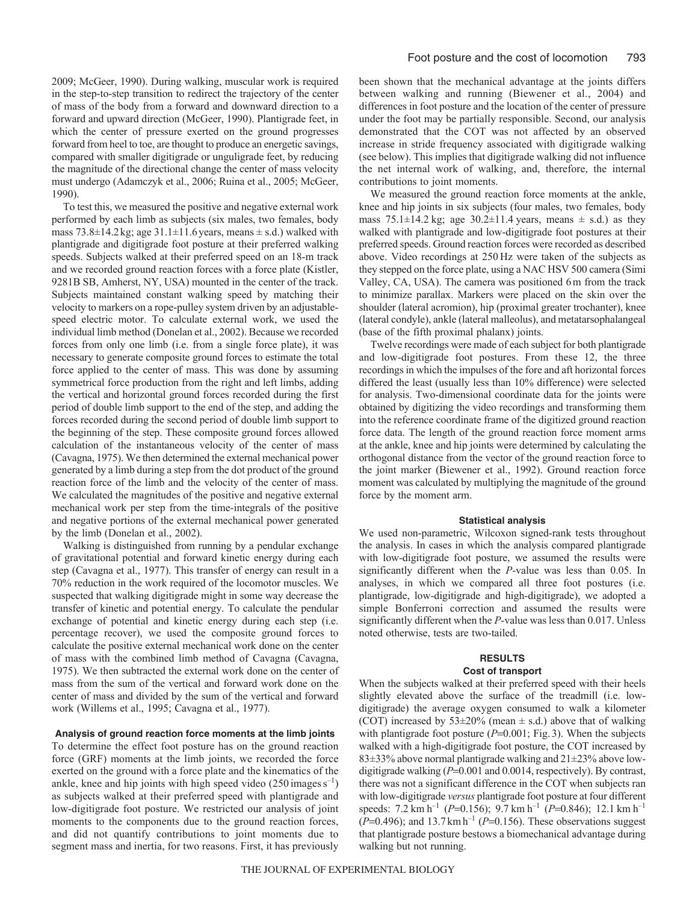2009; McGeer, 1990). During walking, muscular work is required in the step-to-step transition to redirect the trajectory of the center of mass of the body from a forward and downward direction to a forward and upward direction (McGeer, 1990). Plantigrade feet, in which the center of pressure exerted on the ground progresses forward from heel to toe, are thought to produce an energetic savings, compared with smaller digitigrade or unguligrade feet, by reducing the magnitude of the directional change the center of mass velocity must undergo (Adamczyk et al., 2006; Ruina et al., 2005; McGeer, 1990).

To test this, we measured the positive and negative external work performed by each limb as subjects (six males, two females, body mass  $73.8\pm14.2$ kg; age  $31.1\pm11.6$  years, means  $\pm$  s.d.) walked with plantigrade and digitigrade foot posture at their preferred walking speeds. Subjects walked at their preferred speed on an 18-m track and we recorded ground reaction forces with a force plate (Kistler, 9281B SB, Amherst, NY, USA) mounted in the center of the track. Subjects maintained constant walking speed by matching their velocity to markers on a rope-pulley system driven by an adjustablespeed electric motor. To calculate external work, we used the individual limb method (Donelan et al., 2002). Because we recorded forces from only one limb (i.e. from a single force plate), it was necessary to generate composite ground forces to estimate the total force applied to the center of mass. This was done by assuming symmetrical force production from the right and left limbs, adding the vertical and horizontal ground forces recorded during the first period of double limb support to the end of the step, and adding the forces recorded during the second period of double limb support to the beginning of the step. These composite ground forces allowed calculation of the instantaneous velocity of the center of mass (Cavagna, 1975). We then determined the external mechanical power generated by a limb during a step from the dot product of the ground reaction force of the limb and the velocity of the center of mass. We calculated the magnitudes of the positive and negative external mechanical work per step from the time-integrals of the positive and negative portions of the external mechanical power generated by the limb (Donelan et al., 2002).

Walking is distinguished from running by a pendular exchange of gravitational potential and forward kinetic energy during each step (Cavagna et al., 1977). This transfer of energy can result in a 70% reduction in the work required of the locomotor muscles. We suspected that walking digitigrade might in some way decrease the transfer of kinetic and potential energy. To calculate the pendular exchange of potential and kinetic energy during each step (i.e. percentage recover), we used the composite ground forces to calculate the positive external mechanical work done on the center of mass with the combined limb method of Cavagna (Cavagna, 1975). We then subtracted the external work done on the center of mass from the sum of the vertical and forward work done on the center of mass and divided by the sum of the vertical and forward work (Willems et al., 1995; Cavagna et al., 1977).

### **Analysis of ground reaction force moments at the limb joints**

To determine the effect foot posture has on the ground reaction force (GRF) moments at the limb joints, we recorded the force exerted on the ground with a force plate and the kinematics of the ankle, knee and hip joints with high speed video  $(250 \text{ images s}^{-1})$ as subjects walked at their preferred speed with plantigrade and low-digitigrade foot posture. We restricted our analysis of joint moments to the components due to the ground reaction forces, and did not quantify contributions to joint moments due to segment mass and inertia, for two reasons. First, it has previously

been shown that the mechanical advantage at the joints differs between walking and running (Biewener et al., 2004) and differences in foot posture and the location of the center of pressure under the foot may be partially responsible. Second, our analysis demonstrated that the COT was not affected by an observed increase in stride frequency associated with digitigrade walking (see below). This implies that digitigrade walking did not influence the net internal work of walking, and, therefore, the internal contributions to joint moments.

We measured the ground reaction force moments at the ankle, knee and hip joints in six subjects (four males, two females, body mass  $75.1\pm14.2$  kg; age  $30.2\pm11.4$  years, means  $\pm$  s.d.) as they walked with plantigrade and low-digitigrade foot postures at their preferred speeds. Ground reaction forces were recorded as described above. Video recordings at 250 Hz were taken of the subjects as they stepped on the force plate, using a NAC HSV 500 camera (Simi Valley, CA, USA). The camera was positioned 6 m from the track to minimize parallax. Markers were placed on the skin over the shoulder (lateral acromion), hip (proximal greater trochanter), knee (lateral condyle), ankle (lateral malleolus), and metatarsophalangeal (base of the fifth proximal phalanx) joints.

Twelve recordings were made of each subject for both plantigrade and low-digitigrade foot postures. From these 12, the three recordings in which the impulses of the fore and aft horizontal forces differed the least (usually less than 10% difference) were selected for analysis. Two-dimensional coordinate data for the joints were obtained by digitizing the video recordings and transforming them into the reference coordinate frame of the digitized ground reaction force data. The length of the ground reaction force moment arms at the ankle, knee and hip joints were determined by calculating the orthogonal distance from the vector of the ground reaction force to the joint marker (Biewener et al., 1992). Ground reaction force moment was calculated by multiplying the magnitude of the ground force by the moment arm.

### **Statistical analysis**

We used non-parametric, Wilcoxon signed-rank tests throughout the analysis. In cases in which the analysis compared plantigrade with low-digitigrade foot posture, we assumed the results were significantly different when the *P*-value was less than 0.05. In analyses, in which we compared all three foot postures (i.e. plantigrade, low-digitigrade and high-digitigrade), we adopted a simple Bonferroni correction and assumed the results were significantly different when the *P*-value was less than 0.017. Unless noted otherwise, tests are two-tailed.

# **RESULTS**

# **Cost of transport**

When the subjects walked at their preferred speed with their heels slightly elevated above the surface of the treadmill (i.e. lowdigitigrade) the average oxygen consumed to walk a kilometer (COT) increased by  $53\pm20\%$  (mean  $\pm$  s.d.) above that of walking with plantigrade foot posture ( $P=0.001$ ; Fig. 3). When the subjects walked with a high-digitigrade foot posture, the COT increased by 83±33% above normal plantigrade walking and 21±23% above lowdigitigrade walking (*P*=0.001 and 0.0014, respectively). By contrast, there was not a significant difference in the COT when subjects ran with low-digitigrade *versus* plantigrade foot posture at four different speeds:  $7.2 \text{ km h}^{-1}$  (*P*=0.156);  $9.7 \text{ km h}^{-1}$  (*P*=0.846); 12.1 km h<sup>-1</sup>  $(P=0.496)$ ; and 13.7 km h<sup>-1</sup> ( $P=0.156$ ). These observations suggest that plantigrade posture bestows a biomechanical advantage during walking but not running.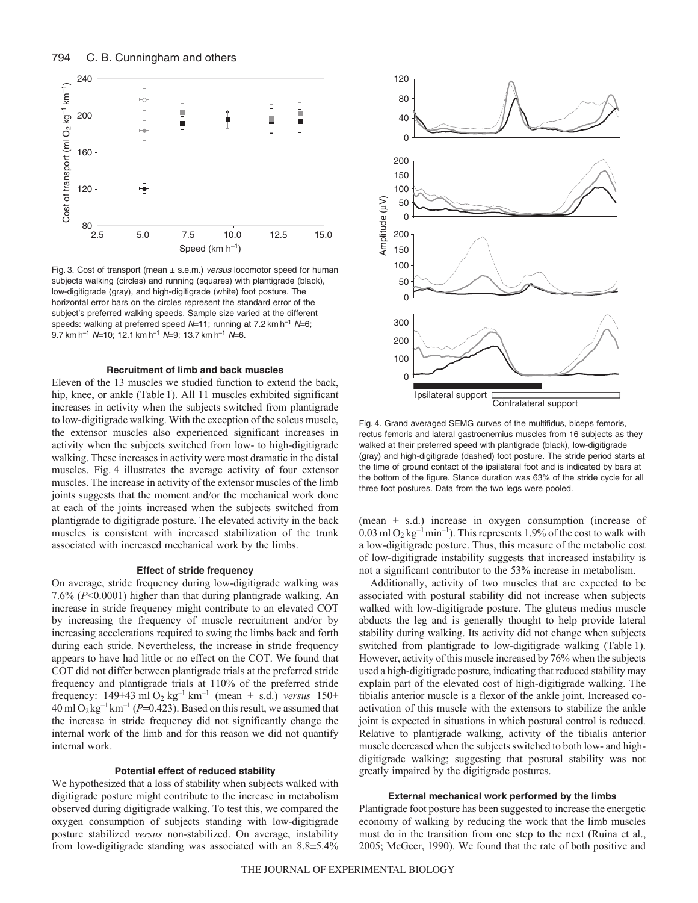

Fig. 3. Cost of transport (mean  $\pm$  s.e.m.) versus locomotor speed for human subjects walking (circles) and running (squares) with plantigrade (black), low-digitigrade (gray), and high-digitigrade (white) foot posture. The horizontal error bars on the circles represent the standard error of the subject's preferred walking speeds. Sample size varied at the different speeds: walking at preferred speed  $N=11$ ; running at 7.2 km h<sup>-1</sup>  $N=6$ ; 9.7 km h<sup>-1</sup> N=10; 12.1 km h<sup>-1</sup> N=9; 13.7 km h<sup>-1</sup> N=6.

# **Recruitment of limb and back muscles**

Eleven of the 13 muscles we studied function to extend the back, hip, knee, or ankle (Table 1). All 11 muscles exhibited significant increases in activity when the subjects switched from plantigrade to low-digitigrade walking. With the exception of the soleus muscle, the extensor muscles also experienced significant increases in activity when the subjects switched from low- to high-digitigrade walking. These increases in activity were most dramatic in the distal muscles. Fig. 4 illustrates the average activity of four extensor muscles. The increase in activity of the extensor muscles of the limb joints suggests that the moment and/or the mechanical work done at each of the joints increased when the subjects switched from plantigrade to digitigrade posture. The elevated activity in the back muscles is consistent with increased stabilization of the trunk associated with increased mechanical work by the limbs.

### **Effect of stride frequency**

On average, stride frequency during low-digitigrade walking was 7.6% (*P*<0.0001) higher than that during plantigrade walking. An increase in stride frequency might contribute to an elevated COT by increasing the frequency of muscle recruitment and/or by increasing accelerations required to swing the limbs back and forth during each stride. Nevertheless, the increase in stride frequency appears to have had little or no effect on the COT. We found that COT did not differ between plantigrade trials at the preferred stride frequency and plantigrade trials at 110% of the preferred stride frequency:  $149\pm43$  ml O<sub>2</sub> kg<sup>-1</sup> km<sup>-1</sup> (mean  $\pm$  s.d.) *versus*  $150\pm$  $40 \text{ ml } O_2 \text{ kg}^{-1} \text{ km}^{-1}$  (*P*=0.423). Based on this result, we assumed that the increase in stride frequency did not significantly change the internal work of the limb and for this reason we did not quantify internal work.

# **Potential effect of reduced stability**

We hypothesized that a loss of stability when subjects walked with digitigrade posture might contribute to the increase in metabolism observed during digitigrade walking. To test this, we compared the oxygen consumption of subjects standing with low-digitigrade posture stabilized *versus* non-stabilized. On average, instability from low-digitigrade standing was associated with an 8.8±5.4%



Fig. 4. Grand averaged SEMG curves of the multifidus, biceps femoris, rectus femoris and lateral gastrocnemius muscles from 16 subjects as they walked at their preferred speed with plantigrade (black), low-digitigrade (gray) and high-digitigrade (dashed) foot posture. The stride period starts at the time of ground contact of the ipsilateral foot and is indicated by bars at the bottom of the figure. Stance duration was 63% of the stride cycle for all three foot postures. Data from the two legs were pooled.

(mean  $\pm$  s.d.) increase in oxygen consumption (increase of  $0.03$  ml O<sub>2</sub> kg<sup>-1</sup>min<sup>-1</sup>). This represents 1.9% of the cost to walk with a low-digitigrade posture. Thus, this measure of the metabolic cost of low-digitigrade instability suggests that increased instability is not a significant contributor to the 53% increase in metabolism.

Additionally, activity of two muscles that are expected to be associated with postural stability did not increase when subjects walked with low-digitigrade posture. The gluteus medius muscle abducts the leg and is generally thought to help provide lateral stability during walking. Its activity did not change when subjects switched from plantigrade to low-digitigrade walking (Table 1). However, activity of this muscle increased by 76% when the subjects used a high-digitigrade posture, indicating that reduced stability may explain part of the elevated cost of high-digitigrade walking. The tibialis anterior muscle is a flexor of the ankle joint. Increased coactivation of this muscle with the extensors to stabilize the ankle joint is expected in situations in which postural control is reduced. Relative to plantigrade walking, activity of the tibialis anterior muscle decreased when the subjects switched to both low- and highdigitigrade walking; suggesting that postural stability was not greatly impaired by the digitigrade postures.

### **External mechanical work performed by the limbs**

Plantigrade foot posture has been suggested to increase the energetic economy of walking by reducing the work that the limb muscles must do in the transition from one step to the next (Ruina et al., 2005; McGeer, 1990). We found that the rate of both positive and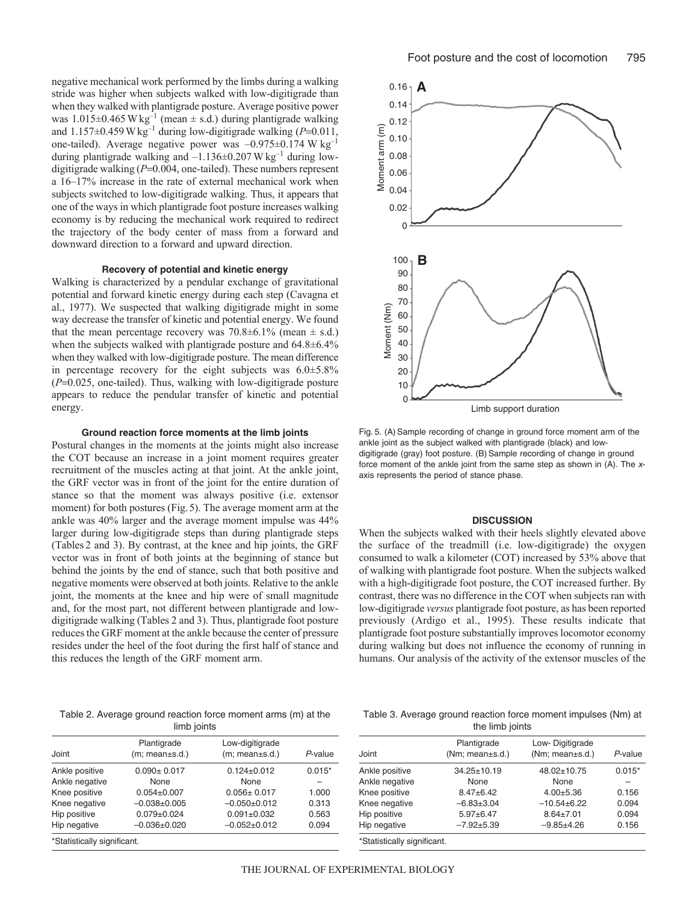negative mechanical work performed by the limbs during a walking stride was higher when subjects walked with low-digitigrade than when they walked with plantigrade posture. Average positive power was  $1.015\pm0.465$  W kg<sup>-1</sup> (mean  $\pm$  s.d.) during plantigrade walking and  $1.157\pm0.459$  W kg<sup>-1</sup> during low-digitigrade walking  $(P=0.011$ , one-tailed). Average negative power was  $-0.975\pm0.174$  W kg<sup>-1</sup> during plantigrade walking and  $-1.136\pm0.207$  W kg<sup>-1</sup> during lowdigitigrade walking (*P*=0.004, one-tailed). These numbers represent a 16–17% increase in the rate of external mechanical work when subjects switched to low-digitigrade walking. Thus, it appears that one of the ways in which plantigrade foot posture increases walking economy is by reducing the mechanical work required to redirect the trajectory of the body center of mass from a forward and downward direction to a forward and upward direction.

# **Recovery of potential and kinetic energy**

Walking is characterized by a pendular exchange of gravitational potential and forward kinetic energy during each step (Cavagna et al., 1977). We suspected that walking digitigrade might in some way decrease the transfer of kinetic and potential energy. We found that the mean percentage recovery was  $70.8\pm6.1\%$  (mean  $\pm$  s.d.) when the subjects walked with plantigrade posture and 64.8±6.4% when they walked with low-digitigrade posture. The mean difference in percentage recovery for the eight subjects was 6.0±5.8% (*P*=0.025, one-tailed). Thus, walking with low-digitigrade posture appears to reduce the pendular transfer of kinetic and potential energy.

### **Ground reaction force moments at the limb joints**

Postural changes in the moments at the joints might also increase the COT because an increase in a joint moment requires greater recruitment of the muscles acting at that joint. At the ankle joint, the GRF vector was in front of the joint for the entire duration of stance so that the moment was always positive (i.e. extensor moment) for both postures (Fig. 5). The average moment arm at the ankle was 40% larger and the average moment impulse was 44% larger during low-digitigrade steps than during plantigrade steps (Tables 2 and 3). By contrast, at the knee and hip joints, the GRF vector was in front of both joints at the beginning of stance but behind the joints by the end of stance, such that both positive and negative moments were observed at both joints. Relative to the ankle joint, the moments at the knee and hip were of small magnitude and, for the most part, not different between plantigrade and lowdigitigrade walking (Tables 2 and 3). Thus, plantigrade foot posture reduces the GRF moment at the ankle because the center of pressure resides under the heel of the foot during the first half of stance and this reduces the length of the GRF moment arm.

Table 2. Average ground reaction force moment arms (m) at the

| __ |             |
|----|-------------|
|    | limb joints |

|                               | Plantigrade       | Low-digitigrade    |          |
|-------------------------------|-------------------|--------------------|----------|
| Joint                         | (m; mean±s.d.)    | (m; mean±s.d.)     | P-value  |
| Ankle positive                | $0.090 \pm 0.017$ | $0.124 \pm 0.012$  | $0.015*$ |
| Ankle negative                | None              | None               |          |
| Knee positive                 | $0.054 \pm 0.007$ | $0.056 \pm 0.017$  | 1.000    |
| Knee negative                 | $-0.038 + 0.005$  | $-0.050+0.012$     | 0.313    |
| Hip positive                  | $0.079 \pm 0.024$ | $0.091 \pm 0.032$  | 0.563    |
| Hip negative                  | $-0.036\pm0.020$  | $-0.052 \pm 0.012$ | 0.094    |
| $*$ Ctatiatiaally aigmificant |                   |                    |          |

'Statistically significant.



Fig. 5. (A) Sample recording of change in ground force moment arm of the ankle joint as the subject walked with plantigrade (black) and lowdigitigrade (gray) foot posture. (B) Sample recording of change in ground force moment of the ankle joint from the same step as shown in (A). The xaxis represents the period of stance phase.

### **DISCUSSION**

When the subjects walked with their heels slightly elevated above the surface of the treadmill (i.e. low-digitigrade) the oxygen consumed to walk a kilometer (COT) increased by 53% above that of walking with plantigrade foot posture. When the subjects walked with a high-digitigrade foot posture, the COT increased further. By contrast, there was no difference in the COT when subjects ran with low-digitigrade *versus* plantigrade foot posture, as has been reported previously (Ardigo et al., 1995). These results indicate that plantigrade foot posture substantially improves locomotor economy during walking but does not influence the economy of running in humans. Our analysis of the activity of the extensor muscles of the

| Table 3. Average ground reaction force moment impulses (Nm) at |  |                 |  |  |  |
|----------------------------------------------------------------|--|-----------------|--|--|--|
|                                                                |  | the limb joints |  |  |  |

| Joint          | Plantigrade<br>(Nm; mean±s.d.) | Low-Digitigrade<br>(Nm; mean±s.d.) | P-value  |
|----------------|--------------------------------|------------------------------------|----------|
| Ankle positive | $34.25 \pm 10.19$              | 48.02±10.75                        | $0.015*$ |
| Ankle negative | None                           | None                               |          |
| Knee positive  | $8.47 + 6.42$                  | $4.00 + 5.36$                      | 0.156    |
| Knee negative  | $-6.83\pm3.04$                 | $-10.54+6.22$                      | 0.094    |
| Hip positive   | $5.97 + 6.47$                  | $8.64 \pm 7.01$                    | 0.094    |
| Hip negative   | $-7.92+5.39$                   | $-9.85+4.26$                       | 0.156    |
|                |                                |                                    |          |

\*Statistically significant.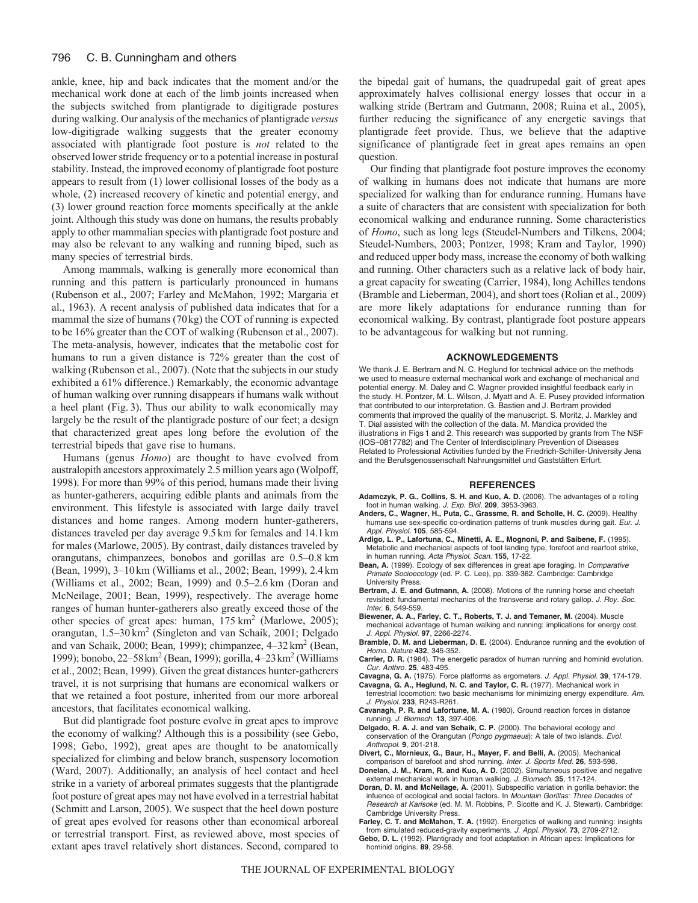ankle, knee, hip and back indicates that the moment and/or the mechanical work done at each of the limb joints increased when the subjects switched from plantigrade to digitigrade postures during walking. Our analysis of the mechanics of plantigrade *versus* low-digitigrade walking suggests that the greater economy associated with plantigrade foot posture is *not* related to the observed lower stride frequency or to a potential increase in postural stability. Instead, the improved economy of plantigrade foot posture appears to result from (1) lower collisional losses of the body as a whole, (2) increased recovery of kinetic and potential energy, and (3) lower ground reaction force moments specifically at the ankle joint. Although this study was done on humans, the results probably apply to other mammalian species with plantigrade foot posture and may also be relevant to any walking and running biped, such as many species of terrestrial birds.

Among mammals, walking is generally more economical than running and this pattern is particularly pronounced in humans (Rubenson et al., 2007; Farley and McMahon, 1992; Margaria et al., 1963). A recent analysis of published data indicates that for a mammal the size of humans (70kg) the COT of running is expected to be 16% greater than the COT of walking (Rubenson et al., 2007). The meta-analysis, however, indicates that the metabolic cost for humans to run a given distance is 72% greater than the cost of walking (Rubenson et al., 2007). (Note that the subjects in our study exhibited a 61% difference.) Remarkably, the economic advantage of human walking over running disappears if humans walk without a heel plant (Fig. 3). Thus our ability to walk economically may largely be the result of the plantigrade posture of our feet; a design that characterized great apes long before the evolution of the terrestrial bipeds that gave rise to humans.

Humans (genus *Homo*) are thought to have evolved from australopith ancestors approximately 2.5 million years ago (Wolpoff, 1998). For more than 99% of this period, humans made their living as hunter-gatherers, acquiring edible plants and animals from the environment. This lifestyle is associated with large daily travel distances and home ranges. Among modern hunter-gatherers, distances traveled per day average 9.5 km for females and 14.1 km for males (Marlowe, 2005). By contrast, daily distances traveled by orangutans, chimpanzees, bonobos and gorillas are 0.5–0.8 km (Bean, 1999), 3–10 km (Williams et al., 2002; Bean, 1999), 2.4 km (Williams et al., 2002; Bean, 1999) and 0.5–2.6 km (Doran and McNeilage, 2001; Bean, 1999), respectively. The average home ranges of human hunter-gatherers also greatly exceed those of the other species of great apes: human,  $175 \text{ km}^2$  (Marlowe, 2005); orangutan, 1.5–30 km2 (Singleton and van Schaik, 2001; Delgado and van Schaik, 2000; Bean, 1999); chimpanzee,  $4-32 \text{ km}^2$  (Bean, 1999); bonobo, 22–58km2 (Bean, 1999); gorilla, 4–23km2 (Williams et al., 2002; Bean, 1999). Given the great distances hunter-gatherers travel, it is not surprising that humans are economical walkers or that we retained a foot posture, inherited from our more arboreal ancestors, that facilitates economical walking.

But did plantigrade foot posture evolve in great apes to improve the economy of walking? Although this is a possibility (see Gebo, 1998; Gebo, 1992), great apes are thought to be anatomically specialized for climbing and below branch, suspensory locomotion (Ward, 2007). Additionally, an analysis of heel contact and heel strike in a variety of arboreal primates suggests that the plantigrade foot posture of great apes may not have evolved in a terrestrial habitat (Schmitt and Larson, 2005). We suspect that the heel down posture of great apes evolved for reasons other than economical arboreal or terrestrial transport. First, as reviewed above, most species of extant apes travel relatively short distances. Second, compared to

the bipedal gait of humans, the quadrupedal gait of great apes approximately halves collisional energy losses that occur in a walking stride (Bertram and Gutmann, 2008; Ruina et al., 2005), further reducing the significance of any energetic savings that plantigrade feet provide. Thus, we believe that the adaptive significance of plantigrade feet in great apes remains an open question.

Our finding that plantigrade foot posture improves the economy of walking in humans does not indicate that humans are more specialized for walking than for endurance running. Humans have a suite of characters that are consistent with specialization for both economical walking and endurance running. Some characteristics of *Homo*, such as long legs (Steudel-Numbers and Tilkens, 2004; Steudel-Numbers, 2003; Pontzer, 1998; Kram and Taylor, 1990) and reduced upper body mass, increase the economy of both walking and running. Other characters such as a relative lack of body hair, a great capacity for sweating (Carrier, 1984), long Achilles tendons (Bramble and Lieberman, 2004), and short toes (Rolian et al., 2009) are more likely adaptations for endurance running than for economical walking. By contrast, plantigrade foot posture appears to be advantageous for walking but not running.

#### **ACKNOWLEDGEMENTS**

We thank J. E. Bertram and N. C. Heglund for technical advice on the methods we used to measure external mechanical work and exchange of mechanical and potential energy. M. Daley and C. Wagner provided insightful feedback early in the study. H. Pontzer, M. L. Wilson, J. Myatt and A. E. Pusey provided information that contributed to our interpretation. G. Bastien and J. Bertram provided comments that improved the quality of the manuscript. S. Moritz, J. Markley and T. Dial assisted with the collection of the data. M. Mandica provided the illustrations in Figs 1 and 2. This research was supported by grants from The NSF (IOS–0817782) and The Center of Interdisciplinary Prevention of Diseases Related to Professional Activities funded by the Friedrich-Schiller-University Jena and the Berufsgenossenschaft Nahrungsmittel und Gaststätten Erfurt.

#### **REFERENCES**

- **Adamczyk, P. G., Collins, S. H. and Kuo, A. D.** (2006). The advantages of a rolling foot in human walking. J. Exp. Biol. **209**, 3953-3963.
- **Anders, C., Wagner, H., Puta, C., Grassme, R. and Scholle, H. C.** (2009). Healthy humans use sex-specific co-ordination patterns of trunk muscles during gait. Eur. J. Appl. Physiol. **105**, 585-594.
- **Ardigo, L. P., Lafortuna, C., Minetti, A. E., Mognoni, P. and Saibene, F.** (1995). Metabolic and mechanical aspects of foot landing type, forefoot and rearfoot strike, in human running. Acta Physiol. Scan. **155**, 17-22.
- **Bean, A.** (1999). Ecology of sex differences in great ape foraging. In Comparative Primate Socioecology (ed. P. C. Lee), pp. 339-362. Cambridge: Cambridge University Press.
- **Bertram, J. E. and Gutmann, A.** (2008). Motions of the running horse and cheetah revisited: fundamental mechanics of the transverse and rotary gallop. J. Roy. Soc. Inter. **6**, 549-559.
- **Biewener, A. A., Farley, C. T., Roberts, T. J. and Temaner, M.** (2004). Muscle mechanical advantage of human walking and running: implications for energy cost. J. Appl. Physiol. **97**, 2266-2274.
- **Bramble, D. M. and Lieberman, D. E.** (2004). Endurance running and the evolution of Homo. Nature **432**, 345-352.
- **Carrier, D. R.** (1984). The energetic paradox of human running and hominid evolution. Cur. Anthro. **25**, 483-495.
- **Cavagna, G. A.** (1975). Force platforms as ergometers. J. Appl. Physiol. **39**, 174-179.
- **Cavagna, G. A., Heglund, N. C. and Taylor, C. R.** (1977). Mechanical work in terrestrial locomotion: two basic mechanisms for minimizing energy expenditure. Am. J. Physiol. **233**, R243-R261.
- **Cavanagh, P. R. and Lafortune, M. A.** (1980). Ground reaction forces in distance running. J. Biomech. **13**, 397-406.
- **Delgado, R. A. J. and van Schaik, C. P.** (2000). The behavioral ecology and conservation of the Orangutan (Pongo pygmaeus): A tale of two islands. Evol. Anthropol. **9**, 201-218.
- **Divert, C., Mornieux, G., Baur, H., Mayer, F. and Belli, A.** (2005). Mechanical comparison of barefoot and shod running. Inter. J. Sports Med. **26**, 593-598.
- **Donelan, J. M., Kram, R. and Kuo, A. D.** (2002). Simultaneous positive and negative external mechanical work in human walking. J. Biomech. **35**, 117-124.
- **Doran, D. M. and McNeilage, A.** (2001). Subspecific variation in gorilla behavior: the infuence of ecological and social factors. In Mountain Gorillas: Three Decades of Research at Karisoke (ed. M. M. Robbins, P. Sicotte and K. J. Stewart). Cambridge: Cambridge University Press.
- **Farley, C. T. and McMahon, T. A.** (1992). Energetics of walking and running: insights from simulated reduced-gravity experiments. J. Appl. Physiol. **73**, 2709-2712.
- **Gebo, D. L.** (1992). Plantigrady and foot adaptation in African apes: Implications for hominid origins. **89**, 29-58.